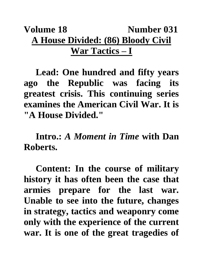## Volume 18 Number 031 **A House Divided: (86) Bloody Civil War Tactics – I**

**Lead: One hundred and fifty years ago the Republic was facing its greatest crisis. This continuing series examines the American Civil War. It is "A House Divided."**

**Intro.:** *A Moment in Time* **with Dan Roberts.**

**Content: In the course of military history it has often been the case that armies prepare for the last war. Unable to see into the future, changes in strategy, tactics and weaponry come only with the experience of the current war. It is one of the great tragedies of**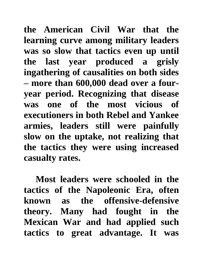**the American Civil War that the learning curve among military leaders was so slow that tactics even up until the last year produced a grisly ingathering of causalities on both sides – more than 600,000 dead over a fouryear period. Recognizing that disease was one of the most vicious of executioners in both Rebel and Yankee armies, leaders still were painfully slow on the uptake, not realizing that the tactics they were using increased casualty rates.**

**Most leaders were schooled in the tactics of the Napoleonic Era, often known as the offensive-defensive theory. Many had fought in the Mexican War and had applied such tactics to great advantage. It was**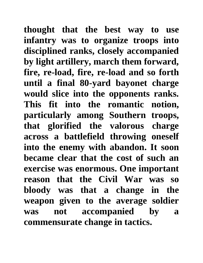**thought that the best way to use infantry was to organize troops into disciplined ranks, closely accompanied by light artillery, march them forward, fire, re-load, fire, re-load and so forth until a final 80-yard bayonet charge would slice into the opponents ranks. This fit into the romantic notion, particularly among Southern troops, that glorified the valorous charge across a battlefield throwing oneself into the enemy with abandon. It soon became clear that the cost of such an exercise was enormous. One important reason that the Civil War was so bloody was that a change in the weapon given to the average soldier was not accompanied by a commensurate change in tactics.**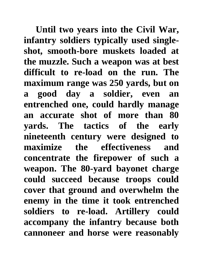**Until two years into the Civil War, infantry soldiers typically used singleshot, smooth-bore muskets loaded at the muzzle. Such a weapon was at best difficult to re-load on the run. The maximum range was 250 yards, but on a good day a soldier, even an entrenched one, could hardly manage an accurate shot of more than 80 yards. The tactics of the early nineteenth century were designed to maximize the effectiveness and concentrate the firepower of such a weapon. The 80-yard bayonet charge could succeed because troops could cover that ground and overwhelm the enemy in the time it took entrenched soldiers to re-load. Artillery could accompany the infantry because both cannoneer and horse were reasonably**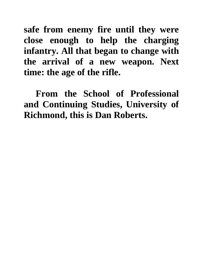**safe from enemy fire until they were close enough to help the charging infantry. All that began to change with the arrival of a new weapon. Next time: the age of the rifle.**

**From the School of Professional and Continuing Studies, University of Richmond, this is Dan Roberts.**